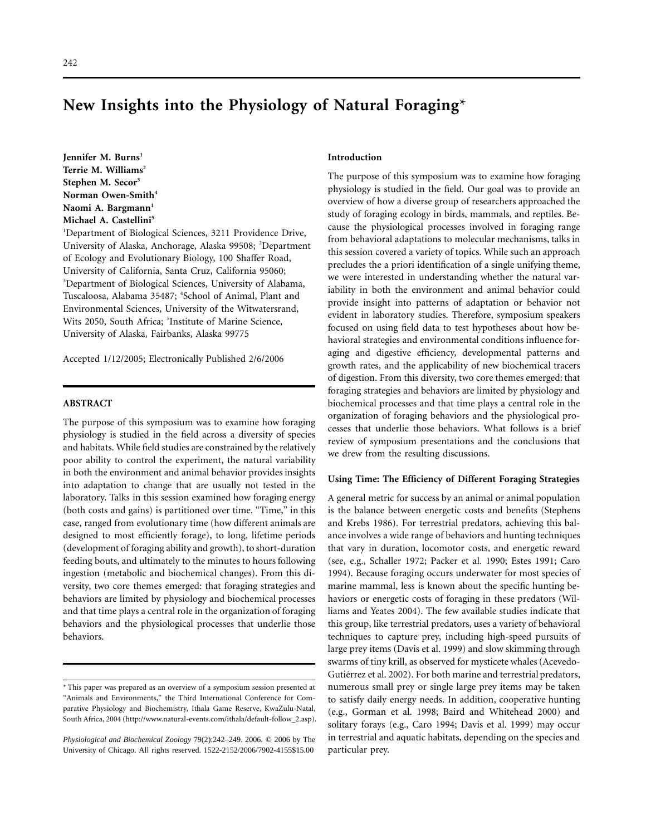## 242

# **New Insights into the Physiology of Natural Foraging**\*

Jennifer M. Burns<sup>1</sup> Terrie M. Williams<sup>2</sup> **Stephen M. Secor3 Norman Owen-Smith4** Naomi A. Bargmann<sup>1</sup> **Michael A. Castellini5**

<sup>1</sup>Department of Biological Sciences, 3211 Providence Drive, University of Alaska, Anchorage, Alaska 99508; <sup>2</sup>Department of Ecology and Evolutionary Biology, 100 Shaffer Road, University of California, Santa Cruz, California 95060; 3 Department of Biological Sciences, University of Alabama, Tuscaloosa, Alabama 35487; <sup>4</sup>School of Animal, Plant and Environmental Sciences, University of the Witwatersrand, Wits 2050, South Africa; 5Institute of Marine Science, University of Alaska, Fairbanks, Alaska 99775

Accepted 1/12/2005; Electronically Published 2/6/2006

## **ABSTRACT**

The purpose of this symposium was to examine how foraging physiology is studied in the field across a diversity of species and habitats. While field studies are constrained by the relatively poor ability to control the experiment, the natural variability in both the environment and animal behavior provides insights into adaptation to change that are usually not tested in the laboratory. Talks in this session examined how foraging energy (both costs and gains) is partitioned over time. "Time," in this case, ranged from evolutionary time (how different animals are designed to most efficiently forage), to long, lifetime periods (development of foraging ability and growth), to short-duration feeding bouts, and ultimately to the minutes to hours following ingestion (metabolic and biochemical changes). From this diversity, two core themes emerged: that foraging strategies and behaviors are limited by physiology and biochemical processes and that time plays a central role in the organization of foraging behaviors and the physiological processes that underlie those behaviors.

## **Introduction**

The purpose of this symposium was to examine how foraging physiology is studied in the field. Our goal was to provide an overview of how a diverse group of researchers approached the study of foraging ecology in birds, mammals, and reptiles. Because the physiological processes involved in foraging range from behavioral adaptations to molecular mechanisms, talks in this session covered a variety of topics. While such an approach precludes the a priori identification of a single unifying theme, we were interested in understanding whether the natural variability in both the environment and animal behavior could provide insight into patterns of adaptation or behavior not evident in laboratory studies. Therefore, symposium speakers focused on using field data to test hypotheses about how behavioral strategies and environmental conditions influence foraging and digestive efficiency, developmental patterns and growth rates, and the applicability of new biochemical tracers of digestion. From this diversity, two core themes emerged: that foraging strategies and behaviors are limited by physiology and biochemical processes and that time plays a central role in the organization of foraging behaviors and the physiological processes that underlie those behaviors. What follows is a brief review of symposium presentations and the conclusions that we drew from the resulting discussions.

#### **Using Time: The Efficiency of Different Foraging Strategies**

A general metric for success by an animal or animal population is the balance between energetic costs and benefits (Stephens and Krebs 1986). For terrestrial predators, achieving this balance involves a wide range of behaviors and hunting techniques that vary in duration, locomotor costs, and energetic reward (see, e.g., Schaller 1972; Packer et al. 1990; Estes 1991; Caro 1994). Because foraging occurs underwater for most species of marine mammal, less is known about the specific hunting behaviors or energetic costs of foraging in these predators (Williams and Yeates 2004). The few available studies indicate that this group, like terrestrial predators, uses a variety of behavioral techniques to capture prey, including high-speed pursuits of large prey items (Davis et al. 1999) and slow skimming through swarms of tiny krill, as observed for mysticete whales (Acevedo-Gutiérrez et al. 2002). For both marine and terrestrial predators, numerous small prey or single large prey items may be taken to satisfy daily energy needs. In addition, cooperative hunting (e.g., Gorman et al. 1998; Baird and Whitehead 2000) and solitary forays (e.g., Caro 1994; Davis et al. 1999) may occur in terrestrial and aquatic habitats, depending on the species and particular prey.

<sup>\*</sup> This paper was prepared as an overview of a symposium session presented at "Animals and Environments," the Third International Conference for Comparative Physiology and Biochemistry, Ithala Game Reserve, KwaZulu-Natal, South Africa, 2004 (http://www.natural-events.com/ithala/default-follow\_2.asp).

*Physiological and Biochemical Zoology* 79(2):242-249. 2006. © 2006 by The University of Chicago. All rights reserved. 1522-2152/2006/7902-4155\$15.00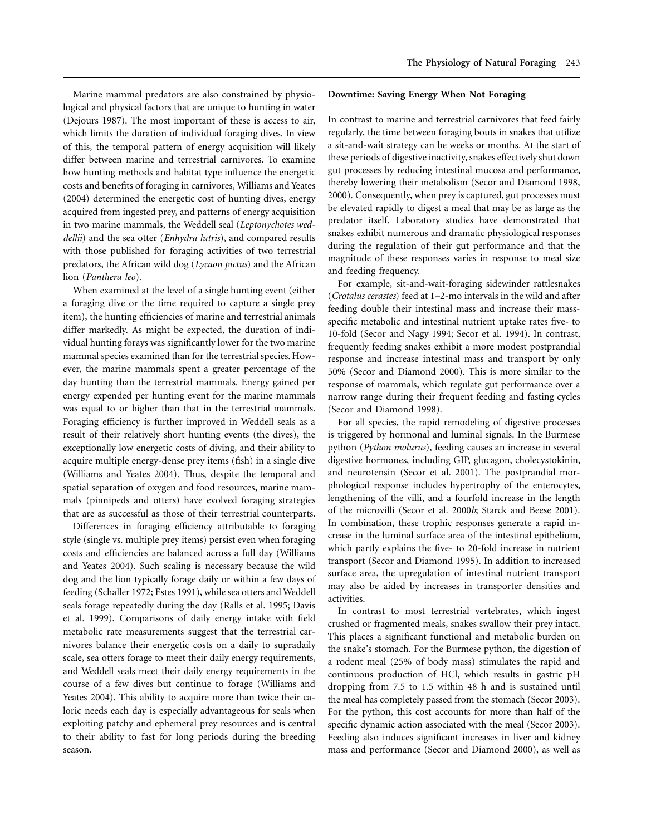Marine mammal predators are also constrained by physiological and physical factors that are unique to hunting in water (Dejours 1987). The most important of these is access to air, which limits the duration of individual foraging dives. In view of this, the temporal pattern of energy acquisition will likely differ between marine and terrestrial carnivores. To examine how hunting methods and habitat type influence the energetic costs and benefits of foraging in carnivores, Williams and Yeates (2004) determined the energetic cost of hunting dives, energy acquired from ingested prey, and patterns of energy acquisition in two marine mammals, the Weddell seal (*Leptonychotes weddellii*) and the sea otter (*Enhydra lutris*), and compared results with those published for foraging activities of two terrestrial predators, the African wild dog (*Lycaon pictus*) and the African lion (*Panthera leo*).

When examined at the level of a single hunting event (either a foraging dive or the time required to capture a single prey item), the hunting efficiencies of marine and terrestrial animals differ markedly. As might be expected, the duration of individual hunting forays was significantly lower for the two marine mammal species examined than for the terrestrial species. However, the marine mammals spent a greater percentage of the day hunting than the terrestrial mammals. Energy gained per energy expended per hunting event for the marine mammals was equal to or higher than that in the terrestrial mammals. Foraging efficiency is further improved in Weddell seals as a result of their relatively short hunting events (the dives), the exceptionally low energetic costs of diving, and their ability to acquire multiple energy-dense prey items (fish) in a single dive (Williams and Yeates 2004). Thus, despite the temporal and spatial separation of oxygen and food resources, marine mammals (pinnipeds and otters) have evolved foraging strategies that are as successful as those of their terrestrial counterparts.

Differences in foraging efficiency attributable to foraging style (single vs. multiple prey items) persist even when foraging costs and efficiencies are balanced across a full day (Williams and Yeates 2004). Such scaling is necessary because the wild dog and the lion typically forage daily or within a few days of feeding (Schaller 1972; Estes 1991), while sea otters and Weddell seals forage repeatedly during the day (Ralls et al. 1995; Davis et al. 1999). Comparisons of daily energy intake with field metabolic rate measurements suggest that the terrestrial carnivores balance their energetic costs on a daily to supradaily scale, sea otters forage to meet their daily energy requirements, and Weddell seals meet their daily energy requirements in the course of a few dives but continue to forage (Williams and Yeates 2004). This ability to acquire more than twice their caloric needs each day is especially advantageous for seals when exploiting patchy and ephemeral prey resources and is central to their ability to fast for long periods during the breeding season.

#### **Downtime: Saving Energy When Not Foraging**

In contrast to marine and terrestrial carnivores that feed fairly regularly, the time between foraging bouts in snakes that utilize a sit-and-wait strategy can be weeks or months. At the start of these periods of digestive inactivity, snakes effectively shut down gut processes by reducing intestinal mucosa and performance, thereby lowering their metabolism (Secor and Diamond 1998, 2000). Consequently, when prey is captured, gut processes must be elevated rapidly to digest a meal that may be as large as the predator itself. Laboratory studies have demonstrated that snakes exhibit numerous and dramatic physiological responses during the regulation of their gut performance and that the magnitude of these responses varies in response to meal size and feeding frequency.

For example, sit-and-wait-foraging sidewinder rattlesnakes (*Crotalus cerastes*) feed at 1–2-mo intervals in the wild and after feeding double their intestinal mass and increase their massspecific metabolic and intestinal nutrient uptake rates five- to 10-fold (Secor and Nagy 1994; Secor et al. 1994). In contrast, frequently feeding snakes exhibit a more modest postprandial response and increase intestinal mass and transport by only 50% (Secor and Diamond 2000). This is more similar to the response of mammals, which regulate gut performance over a narrow range during their frequent feeding and fasting cycles (Secor and Diamond 1998).

For all species, the rapid remodeling of digestive processes is triggered by hormonal and luminal signals. In the Burmese python (*Python molurus*), feeding causes an increase in several digestive hormones, including GIP, glucagon, cholecystokinin, and neurotensin (Secor et al. 2001). The postprandial morphological response includes hypertrophy of the enterocytes, lengthening of the villi, and a fourfold increase in the length of the microvilli (Secor et al. 2000*b*; Starck and Beese 2001). In combination, these trophic responses generate a rapid increase in the luminal surface area of the intestinal epithelium, which partly explains the five- to 20-fold increase in nutrient transport (Secor and Diamond 1995). In addition to increased surface area, the upregulation of intestinal nutrient transport may also be aided by increases in transporter densities and activities.

In contrast to most terrestrial vertebrates, which ingest crushed or fragmented meals, snakes swallow their prey intact. This places a significant functional and metabolic burden on the snake's stomach. For the Burmese python, the digestion of a rodent meal (25% of body mass) stimulates the rapid and continuous production of HCl, which results in gastric pH dropping from 7.5 to 1.5 within 48 h and is sustained until the meal has completely passed from the stomach (Secor 2003). For the python, this cost accounts for more than half of the specific dynamic action associated with the meal (Secor 2003). Feeding also induces significant increases in liver and kidney mass and performance (Secor and Diamond 2000), as well as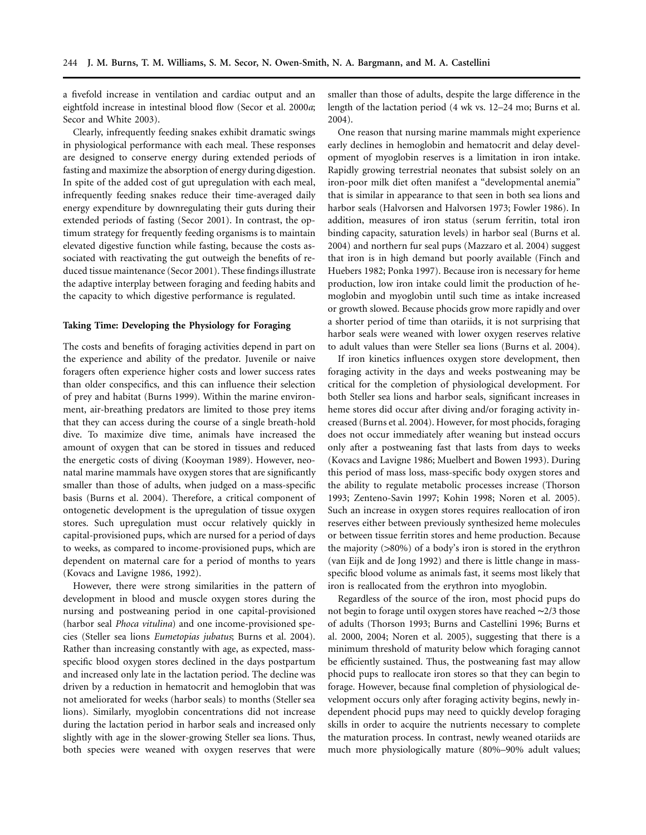a fivefold increase in ventilation and cardiac output and an eightfold increase in intestinal blood flow (Secor et al. 2000*a*; Secor and White 2003).

Clearly, infrequently feeding snakes exhibit dramatic swings in physiological performance with each meal. These responses are designed to conserve energy during extended periods of fasting and maximize the absorption of energy during digestion. In spite of the added cost of gut upregulation with each meal, infrequently feeding snakes reduce their time-averaged daily energy expenditure by downregulating their guts during their extended periods of fasting (Secor 2001). In contrast, the optimum strategy for frequently feeding organisms is to maintain elevated digestive function while fasting, because the costs associated with reactivating the gut outweigh the benefits of reduced tissue maintenance (Secor 2001). These findings illustrate the adaptive interplay between foraging and feeding habits and the capacity to which digestive performance is regulated.

## **Taking Time: Developing the Physiology for Foraging**

The costs and benefits of foraging activities depend in part on the experience and ability of the predator. Juvenile or naive foragers often experience higher costs and lower success rates than older conspecifics, and this can influence their selection of prey and habitat (Burns 1999). Within the marine environment, air-breathing predators are limited to those prey items that they can access during the course of a single breath-hold dive. To maximize dive time, animals have increased the amount of oxygen that can be stored in tissues and reduced the energetic costs of diving (Kooyman 1989). However, neonatal marine mammals have oxygen stores that are significantly smaller than those of adults, when judged on a mass-specific basis (Burns et al. 2004). Therefore, a critical component of ontogenetic development is the upregulation of tissue oxygen stores. Such upregulation must occur relatively quickly in capital-provisioned pups, which are nursed for a period of days to weeks, as compared to income-provisioned pups, which are dependent on maternal care for a period of months to years (Kovacs and Lavigne 1986, 1992).

However, there were strong similarities in the pattern of development in blood and muscle oxygen stores during the nursing and postweaning period in one capital-provisioned (harbor seal *Phoca vitulina*) and one income-provisioned species (Steller sea lions *Eumetopias jubatus*; Burns et al. 2004). Rather than increasing constantly with age, as expected, massspecific blood oxygen stores declined in the days postpartum and increased only late in the lactation period. The decline was driven by a reduction in hematocrit and hemoglobin that was not ameliorated for weeks (harbor seals) to months (Steller sea lions). Similarly, myoglobin concentrations did not increase during the lactation period in harbor seals and increased only slightly with age in the slower-growing Steller sea lions. Thus, both species were weaned with oxygen reserves that were

smaller than those of adults, despite the large difference in the length of the lactation period (4 wk vs. 12–24 mo; Burns et al. 2004).

One reason that nursing marine mammals might experience early declines in hemoglobin and hematocrit and delay development of myoglobin reserves is a limitation in iron intake. Rapidly growing terrestrial neonates that subsist solely on an iron-poor milk diet often manifest a "developmental anemia" that is similar in appearance to that seen in both sea lions and harbor seals (Halvorsen and Halvorsen 1973; Fowler 1986). In addition, measures of iron status (serum ferritin, total iron binding capacity, saturation levels) in harbor seal (Burns et al. 2004) and northern fur seal pups (Mazzaro et al. 2004) suggest that iron is in high demand but poorly available (Finch and Huebers 1982; Ponka 1997). Because iron is necessary for heme production, low iron intake could limit the production of hemoglobin and myoglobin until such time as intake increased or growth slowed. Because phocids grow more rapidly and over a shorter period of time than otariids, it is not surprising that harbor seals were weaned with lower oxygen reserves relative to adult values than were Steller sea lions (Burns et al. 2004).

If iron kinetics influences oxygen store development, then foraging activity in the days and weeks postweaning may be critical for the completion of physiological development. For both Steller sea lions and harbor seals, significant increases in heme stores did occur after diving and/or foraging activity increased (Burns et al. 2004). However, for most phocids, foraging does not occur immediately after weaning but instead occurs only after a postweaning fast that lasts from days to weeks (Kovacs and Lavigne 1986; Muelbert and Bowen 1993). During this period of mass loss, mass-specific body oxygen stores and the ability to regulate metabolic processes increase (Thorson 1993; Zenteno-Savin 1997; Kohin 1998; Noren et al. 2005). Such an increase in oxygen stores requires reallocation of iron reserves either between previously synthesized heme molecules or between tissue ferritin stores and heme production. Because the majority  $(>80\%)$  of a body's iron is stored in the erythron (van Eijk and de Jong 1992) and there is little change in massspecific blood volume as animals fast, it seems most likely that iron is reallocated from the erythron into myoglobin.

Regardless of the source of the iron, most phocid pups do not begin to forage until oxygen stores have reached ∼2/3 those of adults (Thorson 1993; Burns and Castellini 1996; Burns et al. 2000, 2004; Noren et al. 2005), suggesting that there is a minimum threshold of maturity below which foraging cannot be efficiently sustained. Thus, the postweaning fast may allow phocid pups to reallocate iron stores so that they can begin to forage. However, because final completion of physiological development occurs only after foraging activity begins, newly independent phocid pups may need to quickly develop foraging skills in order to acquire the nutrients necessary to complete the maturation process. In contrast, newly weaned otariids are much more physiologically mature (80%–90% adult values;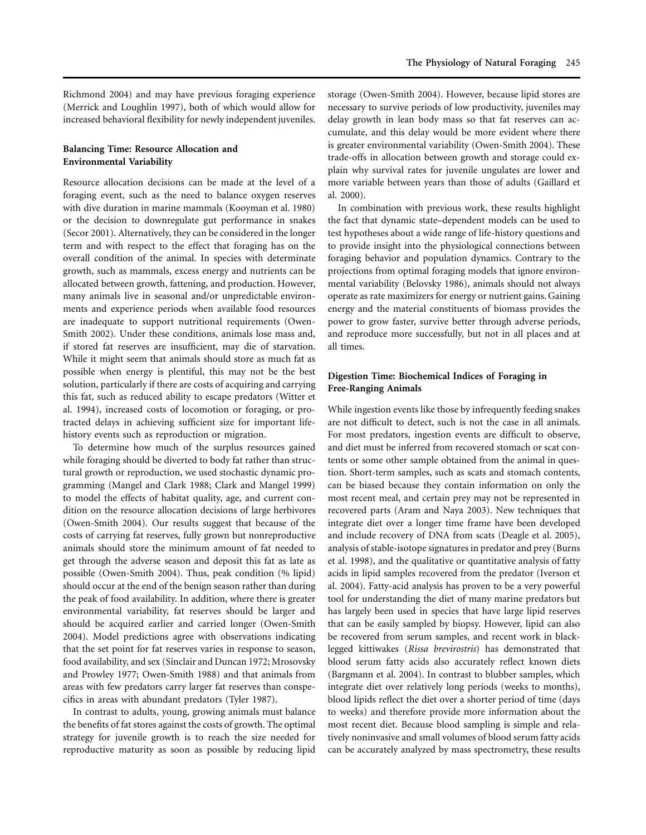Richmond 2004) and may have previous foraging experience (Merrick and Loughlin 1997), both of which would allow for increased behavioral flexibility for newly independent juveniles.

# **Balancing Time: Resource Allocation and Environmental Variability**

Resource allocation decisions can be made at the level of a foraging event, such as the need to balance oxygen reserves with dive duration in marine mammals (Kooyman et al. 1980) or the decision to downregulate gut performance in snakes (Secor 2001). Alternatively, they can be considered in the longer term and with respect to the effect that foraging has on the overall condition of the animal. In species with determinate growth, such as mammals, excess energy and nutrients can be allocated between growth, fattening, and production. However, many animals live in seasonal and/or unpredictable environments and experience periods when available food resources are inadequate to support nutritional requirements (Owen-Smith 2002). Under these conditions, animals lose mass and, if stored fat reserves are insufficient, may die of starvation. While it might seem that animals should store as much fat as possible when energy is plentiful, this may not be the best solution, particularly if there are costs of acquiring and carrying this fat, such as reduced ability to escape predators (Witter et al. 1994), increased costs of locomotion or foraging, or protracted delays in achieving sufficient size for important lifehistory events such as reproduction or migration.

To determine how much of the surplus resources gained while foraging should be diverted to body fat rather than structural growth or reproduction, we used stochastic dynamic programming (Mangel and Clark 1988; Clark and Mangel 1999) to model the effects of habitat quality, age, and current condition on the resource allocation decisions of large herbivores (Owen-Smith 2004). Our results suggest that because of the costs of carrying fat reserves, fully grown but nonreproductive animals should store the minimum amount of fat needed to get through the adverse season and deposit this fat as late as possible (Owen-Smith 2004). Thus, peak condition (% lipid) should occur at the end of the benign season rather than during the peak of food availability. In addition, where there is greater environmental variability, fat reserves should be larger and should be acquired earlier and carried longer (Owen-Smith 2004). Model predictions agree with observations indicating that the set point for fat reserves varies in response to season, food availability, and sex (Sinclair and Duncan 1972; Mrosovsky and Prowley 1977; Owen-Smith 1988) and that animals from areas with few predators carry larger fat reserves than conspecifics in areas with abundant predators (Tyler 1987).

In contrast to adults, young, growing animals must balance the benefits of fat stores against the costs of growth. The optimal strategy for juvenile growth is to reach the size needed for reproductive maturity as soon as possible by reducing lipid storage (Owen-Smith 2004). However, because lipid stores are necessary to survive periods of low productivity, juveniles may delay growth in lean body mass so that fat reserves can accumulate, and this delay would be more evident where there is greater environmental variability (Owen-Smith 2004). These trade-offs in allocation between growth and storage could explain why survival rates for juvenile ungulates are lower and more variable between years than those of adults (Gaillard et al. 2000).

In combination with previous work, these results highlight the fact that dynamic state–dependent models can be used to test hypotheses about a wide range of life-history questions and to provide insight into the physiological connections between foraging behavior and population dynamics. Contrary to the projections from optimal foraging models that ignore environmental variability (Belovsky 1986), animals should not always operate as rate maximizers for energy or nutrient gains. Gaining energy and the material constituents of biomass provides the power to grow faster, survive better through adverse periods, and reproduce more successfully, but not in all places and at all times.

# **Digestion Time: Biochemical Indices of Foraging in Free-Ranging Animals**

While ingestion events like those by infrequently feeding snakes are not difficult to detect, such is not the case in all animals. For most predators, ingestion events are difficult to observe, and diet must be inferred from recovered stomach or scat contents or some other sample obtained from the animal in question. Short-term samples, such as scats and stomach contents, can be biased because they contain information on only the most recent meal, and certain prey may not be represented in recovered parts (Aram and Naya 2003). New techniques that integrate diet over a longer time frame have been developed and include recovery of DNA from scats (Deagle et al. 2005), analysis of stable-isotope signatures in predator and prey (Burns et al. 1998), and the qualitative or quantitative analysis of fatty acids in lipid samples recovered from the predator (Iverson et al. 2004). Fatty-acid analysis has proven to be a very powerful tool for understanding the diet of many marine predators but has largely been used in species that have large lipid reserves that can be easily sampled by biopsy. However, lipid can also be recovered from serum samples, and recent work in blacklegged kittiwakes (*Rissa brevirostris*) has demonstrated that blood serum fatty acids also accurately reflect known diets (Bargmann et al. 2004). In contrast to blubber samples, which integrate diet over relatively long periods (weeks to months), blood lipids reflect the diet over a shorter period of time (days to weeks) and therefore provide more information about the most recent diet. Because blood sampling is simple and relatively noninvasive and small volumes of blood serum fatty acids can be accurately analyzed by mass spectrometry, these results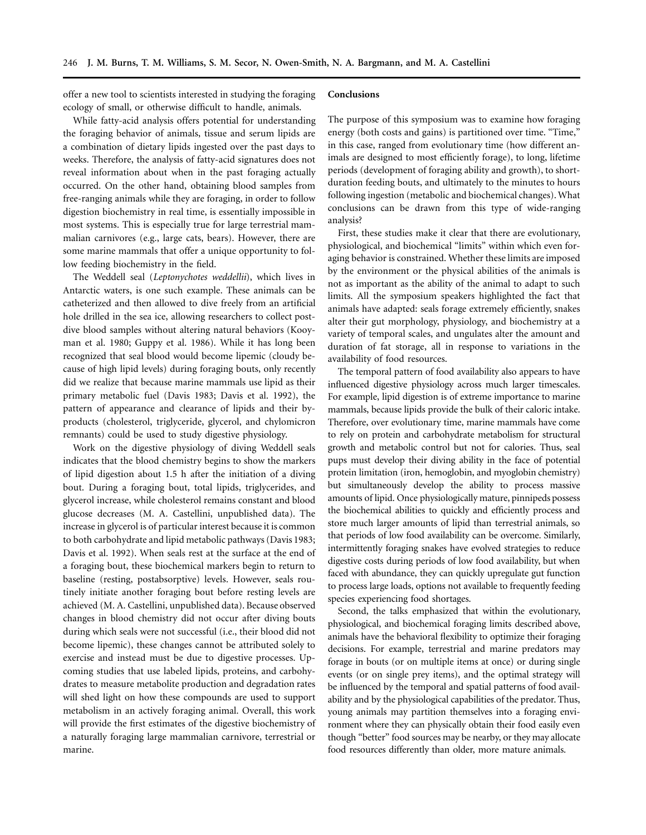offer a new tool to scientists interested in studying the foraging ecology of small, or otherwise difficult to handle, animals.

While fatty-acid analysis offers potential for understanding the foraging behavior of animals, tissue and serum lipids are a combination of dietary lipids ingested over the past days to weeks. Therefore, the analysis of fatty-acid signatures does not reveal information about when in the past foraging actually occurred. On the other hand, obtaining blood samples from free-ranging animals while they are foraging, in order to follow digestion biochemistry in real time, is essentially impossible in most systems. This is especially true for large terrestrial mammalian carnivores (e.g., large cats, bears). However, there are some marine mammals that offer a unique opportunity to follow feeding biochemistry in the field.

The Weddell seal (*Leptonychotes weddellii*), which lives in Antarctic waters, is one such example. These animals can be catheterized and then allowed to dive freely from an artificial hole drilled in the sea ice, allowing researchers to collect postdive blood samples without altering natural behaviors (Kooyman et al. 1980; Guppy et al. 1986). While it has long been recognized that seal blood would become lipemic (cloudy because of high lipid levels) during foraging bouts, only recently did we realize that because marine mammals use lipid as their primary metabolic fuel (Davis 1983; Davis et al. 1992), the pattern of appearance and clearance of lipids and their byproducts (cholesterol, triglyceride, glycerol, and chylomicron remnants) could be used to study digestive physiology.

Work on the digestive physiology of diving Weddell seals indicates that the blood chemistry begins to show the markers of lipid digestion about 1.5 h after the initiation of a diving bout. During a foraging bout, total lipids, triglycerides, and glycerol increase, while cholesterol remains constant and blood glucose decreases (M. A. Castellini, unpublished data). The increase in glycerol is of particular interest because it is common to both carbohydrate and lipid metabolic pathways (Davis 1983; Davis et al. 1992). When seals rest at the surface at the end of a foraging bout, these biochemical markers begin to return to baseline (resting, postabsorptive) levels. However, seals routinely initiate another foraging bout before resting levels are achieved (M. A. Castellini, unpublished data). Because observed changes in blood chemistry did not occur after diving bouts during which seals were not successful (i.e., their blood did not become lipemic), these changes cannot be attributed solely to exercise and instead must be due to digestive processes. Upcoming studies that use labeled lipids, proteins, and carbohydrates to measure metabolite production and degradation rates will shed light on how these compounds are used to support metabolism in an actively foraging animal. Overall, this work will provide the first estimates of the digestive biochemistry of a naturally foraging large mammalian carnivore, terrestrial or marine.

## **Conclusions**

The purpose of this symposium was to examine how foraging energy (both costs and gains) is partitioned over time. "Time," in this case, ranged from evolutionary time (how different animals are designed to most efficiently forage), to long, lifetime periods (development of foraging ability and growth), to shortduration feeding bouts, and ultimately to the minutes to hours following ingestion (metabolic and biochemical changes). What conclusions can be drawn from this type of wide-ranging analysis?

First, these studies make it clear that there are evolutionary, physiological, and biochemical "limits" within which even foraging behavior is constrained. Whether these limits are imposed by the environment or the physical abilities of the animals is not as important as the ability of the animal to adapt to such limits. All the symposium speakers highlighted the fact that animals have adapted: seals forage extremely efficiently, snakes alter their gut morphology, physiology, and biochemistry at a variety of temporal scales, and ungulates alter the amount and duration of fat storage, all in response to variations in the availability of food resources.

The temporal pattern of food availability also appears to have influenced digestive physiology across much larger timescales. For example, lipid digestion is of extreme importance to marine mammals, because lipids provide the bulk of their caloric intake. Therefore, over evolutionary time, marine mammals have come to rely on protein and carbohydrate metabolism for structural growth and metabolic control but not for calories. Thus, seal pups must develop their diving ability in the face of potential protein limitation (iron, hemoglobin, and myoglobin chemistry) but simultaneously develop the ability to process massive amounts of lipid. Once physiologically mature, pinnipeds possess the biochemical abilities to quickly and efficiently process and store much larger amounts of lipid than terrestrial animals, so that periods of low food availability can be overcome. Similarly, intermittently foraging snakes have evolved strategies to reduce digestive costs during periods of low food availability, but when faced with abundance, they can quickly upregulate gut function to process large loads, options not available to frequently feeding species experiencing food shortages.

Second, the talks emphasized that within the evolutionary, physiological, and biochemical foraging limits described above, animals have the behavioral flexibility to optimize their foraging decisions. For example, terrestrial and marine predators may forage in bouts (or on multiple items at once) or during single events (or on single prey items), and the optimal strategy will be influenced by the temporal and spatial patterns of food availability and by the physiological capabilities of the predator. Thus, young animals may partition themselves into a foraging environment where they can physically obtain their food easily even though "better" food sources may be nearby, or they may allocate food resources differently than older, more mature animals.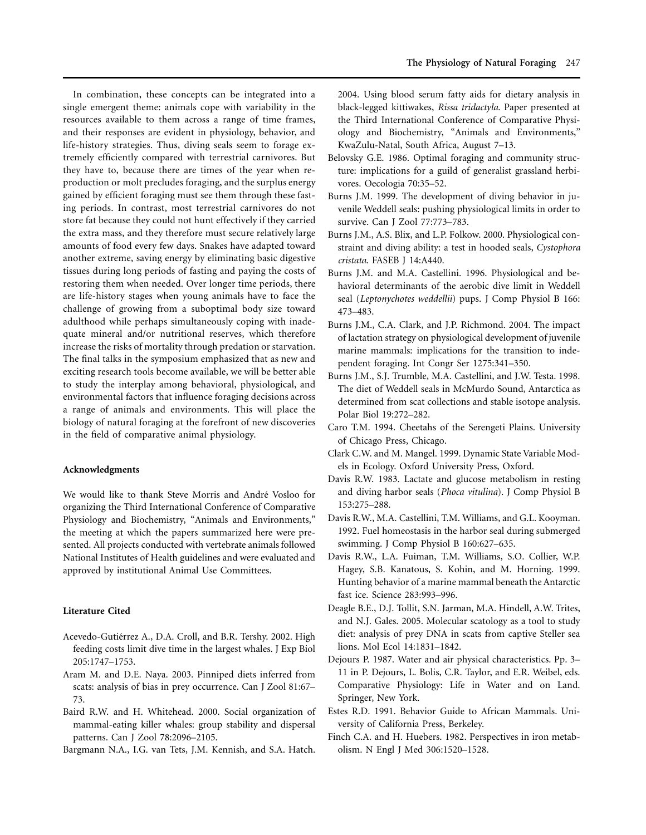In combination, these concepts can be integrated into a single emergent theme: animals cope with variability in the resources available to them across a range of time frames, and their responses are evident in physiology, behavior, and life-history strategies. Thus, diving seals seem to forage extremely efficiently compared with terrestrial carnivores. But they have to, because there are times of the year when reproduction or molt precludes foraging, and the surplus energy gained by efficient foraging must see them through these fasting periods. In contrast, most terrestrial carnivores do not store fat because they could not hunt effectively if they carried the extra mass, and they therefore must secure relatively large amounts of food every few days. Snakes have adapted toward another extreme, saving energy by eliminating basic digestive tissues during long periods of fasting and paying the costs of restoring them when needed. Over longer time periods, there are life-history stages when young animals have to face the challenge of growing from a suboptimal body size toward adulthood while perhaps simultaneously coping with inadequate mineral and/or nutritional reserves, which therefore increase the risks of mortality through predation or starvation. The final talks in the symposium emphasized that as new and exciting research tools become available, we will be better able to study the interplay among behavioral, physiological, and environmental factors that influence foraging decisions across a range of animals and environments. This will place the biology of natural foraging at the forefront of new discoveries in the field of comparative animal physiology.

## **Acknowledgments**

We would like to thank Steve Morris and André Vosloo for organizing the Third International Conference of Comparative Physiology and Biochemistry, "Animals and Environments," the meeting at which the papers summarized here were presented. All projects conducted with vertebrate animals followed National Institutes of Health guidelines and were evaluated and approved by institutional Animal Use Committees.

#### **Literature Cited**

- Acevedo-Gutiérrez A., D.A. Croll, and B.R. Tershy. 2002. High feeding costs limit dive time in the largest whales. J Exp Biol 205:1747–1753.
- Aram M. and D.E. Naya. 2003. Pinniped diets inferred from scats: analysis of bias in prey occurrence. Can J Zool 81:67– 73.
- Baird R.W. and H. Whitehead. 2000. Social organization of mammal-eating killer whales: group stability and dispersal patterns. Can J Zool 78:2096–2105.

Bargmann N.A., I.G. van Tets, J.M. Kennish, and S.A. Hatch.

2004. Using blood serum fatty aids for dietary analysis in black-legged kittiwakes, *Rissa tridactyla*. Paper presented at the Third International Conference of Comparative Physiology and Biochemistry, "Animals and Environments," KwaZulu-Natal, South Africa, August 7–13.

- Belovsky G.E. 1986. Optimal foraging and community structure: implications for a guild of generalist grassland herbivores. Oecologia 70:35–52.
- Burns J.M. 1999. The development of diving behavior in juvenile Weddell seals: pushing physiological limits in order to survive. Can J Zool 77:773–783.
- Burns J.M., A.S. Blix, and L.P. Folkow. 2000. Physiological constraint and diving ability: a test in hooded seals, *Cystophora cristata*. FASEB J 14:A440.
- Burns J.M. and M.A. Castellini. 1996. Physiological and behavioral determinants of the aerobic dive limit in Weddell seal (*Leptonychotes weddellii*) pups. J Comp Physiol B 166: 473–483.
- Burns J.M., C.A. Clark, and J.P. Richmond. 2004. The impact of lactation strategy on physiological development of juvenile marine mammals: implications for the transition to independent foraging. Int Congr Ser 1275:341–350.
- Burns J.M., S.J. Trumble, M.A. Castellini, and J.W. Testa. 1998. The diet of Weddell seals in McMurdo Sound, Antarctica as determined from scat collections and stable isotope analysis. Polar Biol 19:272–282.
- Caro T.M. 1994. Cheetahs of the Serengeti Plains. University of Chicago Press, Chicago.
- Clark C.W. and M. Mangel. 1999. Dynamic State Variable Models in Ecology. Oxford University Press, Oxford.
- Davis R.W. 1983. Lactate and glucose metabolism in resting and diving harbor seals (*Phoca vitulina*). J Comp Physiol B 153:275–288.
- Davis R.W., M.A. Castellini, T.M. Williams, and G.L. Kooyman. 1992. Fuel homeostasis in the harbor seal during submerged swimming. J Comp Physiol B 160:627–635.
- Davis R.W., L.A. Fuiman, T.M. Williams, S.O. Collier, W.P. Hagey, S.B. Kanatous, S. Kohin, and M. Horning. 1999. Hunting behavior of a marine mammal beneath the Antarctic fast ice. Science 283:993–996.
- Deagle B.E., D.J. Tollit, S.N. Jarman, M.A. Hindell, A.W. Trites, and N.J. Gales. 2005. Molecular scatology as a tool to study diet: analysis of prey DNA in scats from captive Steller sea lions. Mol Ecol 14:1831–1842.
- Dejours P. 1987. Water and air physical characteristics. Pp. 3– 11 in P. Dejours, L. Bolis, C.R. Taylor, and E.R. Weibel, eds. Comparative Physiology: Life in Water and on Land. Springer, New York.
- Estes R.D. 1991. Behavior Guide to African Mammals. University of California Press, Berkeley.
- Finch C.A. and H. Huebers. 1982. Perspectives in iron metabolism. N Engl J Med 306:1520–1528.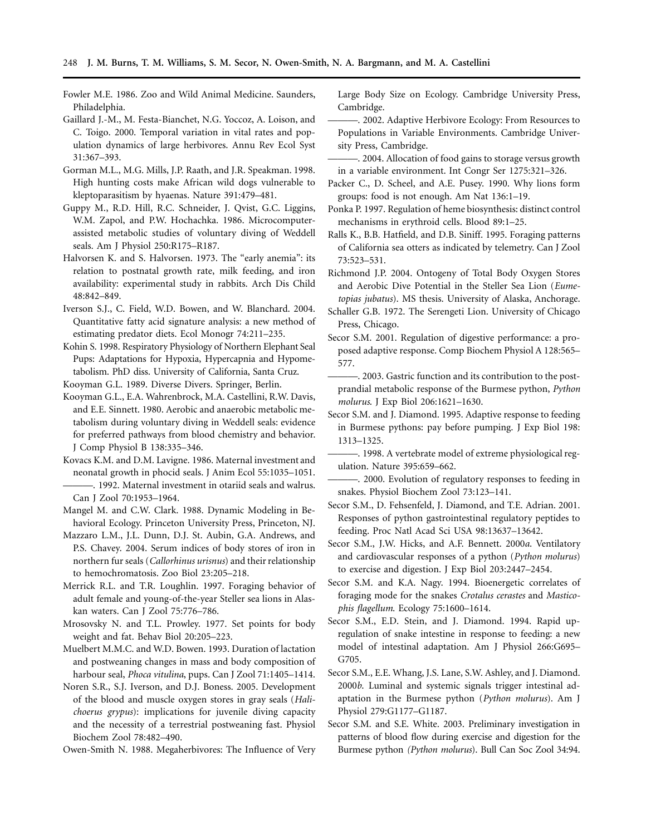- Fowler M.E. 1986. Zoo and Wild Animal Medicine. Saunders, Philadelphia.
- Gaillard J.-M., M. Festa-Bianchet, N.G. Yoccoz, A. Loison, and C. Toigo. 2000. Temporal variation in vital rates and population dynamics of large herbivores. Annu Rev Ecol Syst 31:367–393.
- Gorman M.L., M.G. Mills, J.P. Raath, and J.R. Speakman. 1998. High hunting costs make African wild dogs vulnerable to kleptoparasitism by hyaenas. Nature 391:479–481.
- Guppy M., R.D. Hill, R.C. Schneider, J. Qvist, G.C. Liggins, W.M. Zapol, and P.W. Hochachka. 1986. Microcomputerassisted metabolic studies of voluntary diving of Weddell seals. Am J Physiol 250:R175–R187.
- Halvorsen K. and S. Halvorsen. 1973. The "early anemia": its relation to postnatal growth rate, milk feeding, and iron availability: experimental study in rabbits. Arch Dis Child 48:842–849.
- Iverson S.J., C. Field, W.D. Bowen, and W. Blanchard. 2004. Quantitative fatty acid signature analysis: a new method of estimating predator diets. Ecol Monogr 74:211–235.
- Kohin S. 1998. Respiratory Physiology of Northern Elephant Seal Pups: Adaptations for Hypoxia, Hypercapnia and Hypometabolism. PhD diss. University of California, Santa Cruz.
- Kooyman G.L. 1989. Diverse Divers. Springer, Berlin.
- Kooyman G.L., E.A. Wahrenbrock, M.A. Castellini, R.W. Davis, and E.E. Sinnett. 1980. Aerobic and anaerobic metabolic metabolism during voluntary diving in Weddell seals: evidence for preferred pathways from blood chemistry and behavior. J Comp Physiol B 138:335–346.
- Kovacs K.M. and D.M. Lavigne. 1986. Maternal investment and neonatal growth in phocid seals. J Anim Ecol 55:1035–1051. -. 1992. Maternal investment in otariid seals and walrus.
- Can J Zool 70:1953–1964. Mangel M. and C.W. Clark. 1988. Dynamic Modeling in Be-
- havioral Ecology. Princeton University Press, Princeton, NJ.
- Mazzaro L.M., J.L. Dunn, D.J. St. Aubin, G.A. Andrews, and P.S. Chavey. 2004. Serum indices of body stores of iron in northern fur seals (*Callorhinus urisnus*) and their relationship to hemochromatosis. Zoo Biol 23:205–218.
- Merrick R.L. and T.R. Loughlin. 1997. Foraging behavior of adult female and young-of-the-year Steller sea lions in Alaskan waters. Can J Zool 75:776–786.
- Mrosovsky N. and T.L. Prowley. 1977. Set points for body weight and fat. Behav Biol 20:205–223.
- Muelbert M.M.C. and W.D. Bowen. 1993. Duration of lactation and postweaning changes in mass and body composition of harbour seal, *Phoca vitulina*, pups. Can J Zool 71:1405–1414.
- Noren S.R., S.J. Iverson, and D.J. Boness. 2005. Development of the blood and muscle oxygen stores in gray seals (*Halichoerus grypus*): implications for juvenile diving capacity and the necessity of a terrestrial postweaning fast. Physiol Biochem Zool 78:482–490.

Owen-Smith N. 1988. Megaherbivores: The Influence of Very

Large Body Size on Ecology. Cambridge University Press, Cambridge.

- ———. 2002. Adaptive Herbivore Ecology: From Resources to Populations in Variable Environments. Cambridge University Press, Cambridge.
- ———. 2004. Allocation of food gains to storage versus growth in a variable environment. Int Congr Ser 1275:321–326.
- Packer C., D. Scheel, and A.E. Pusey. 1990. Why lions form groups: food is not enough. Am Nat 136:1–19.
- Ponka P. 1997. Regulation of heme biosynthesis: distinct control mechanisms in erythroid cells. Blood 89:1–25.
- Ralls K., B.B. Hatfield, and D.B. Siniff. 1995. Foraging patterns of California sea otters as indicated by telemetry. Can J Zool 73:523–531.
- Richmond J.P. 2004. Ontogeny of Total Body Oxygen Stores and Aerobic Dive Potential in the Steller Sea Lion (*Eumetopias jubatus*). MS thesis. University of Alaska, Anchorage.
- Schaller G.B. 1972. The Serengeti Lion. University of Chicago Press, Chicago.
- Secor S.M. 2001. Regulation of digestive performance: a proposed adaptive response. Comp Biochem Physiol A 128:565– 577.
- -. 2003. Gastric function and its contribution to the postprandial metabolic response of the Burmese python, *Python molurus*. J Exp Biol 206:1621–1630.
- Secor S.M. and J. Diamond. 1995. Adaptive response to feeding in Burmese pythons: pay before pumping. J Exp Biol 198: 1313–1325.
- ———. 1998. A vertebrate model of extreme physiological regulation. Nature 395:659–662.
- ———. 2000. Evolution of regulatory responses to feeding in snakes. Physiol Biochem Zool 73:123–141.
- Secor S.M., D. Fehsenfeld, J. Diamond, and T.E. Adrian. 2001. Responses of python gastrointestinal regulatory peptides to feeding. Proc Natl Acad Sci USA 98:13637–13642.
- Secor S.M., J.W. Hicks, and A.F. Bennett. 2000*a*. Ventilatory and cardiovascular responses of a python (*Python molurus*) to exercise and digestion. J Exp Biol 203:2447–2454.
- Secor S.M. and K.A. Nagy. 1994. Bioenergetic correlates of foraging mode for the snakes *Crotalus cerastes* and *Masticophis flagellum*. Ecology 75:1600–1614.
- Secor S.M., E.D. Stein, and J. Diamond. 1994. Rapid upregulation of snake intestine in response to feeding: a new model of intestinal adaptation. Am J Physiol 266:G695– G705.
- Secor S.M., E.E. Whang, J.S. Lane, S.W. Ashley, and J. Diamond. 2000*b*. Luminal and systemic signals trigger intestinal adaptation in the Burmese python (*Python molurus*). Am J Physiol 279:G1177–G1187.
- Secor S.M. and S.E. White. 2003. Preliminary investigation in patterns of blood flow during exercise and digestion for the Burmese python *(Python molurus*). Bull Can Soc Zool 34:94.